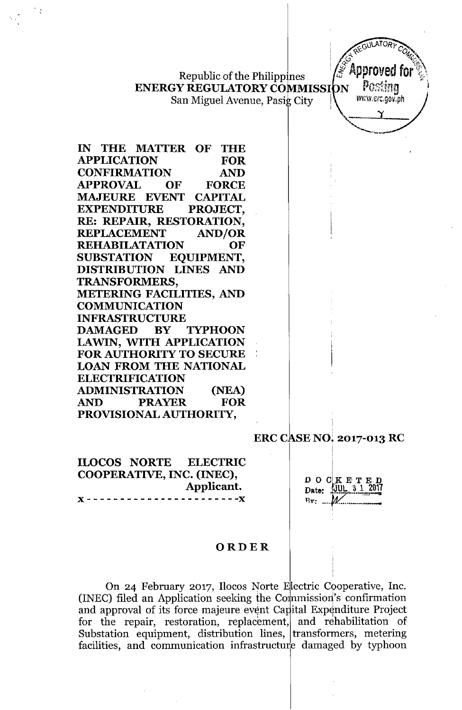Republic of the Philippines **ENERGY REGULATORY COMMISSION** San Miguel Avenue, Pasig City

GULATORY Approved for Postina www.erc.gov.ph Y

| IN IHE MATTEK OF THE                    |
|-----------------------------------------|
| APPLICATION FOR<br>CONFIRMATION AND     |
|                                         |
| <b>APPROVAL OF FORCE</b>                |
| <b>MAJEURE EVENT CAPITAL</b>            |
| EXPENDITURE PROJECT,                    |
| RE: REPAIR, RESTORATION,                |
| REPLACEMENT AND/OR<br>REHABILATATION OF |
| OF                                      |
| SUBSTATION EQUIPMENT,                   |
| DISTRIBUTION LINES AND                  |
| <b>TRANSFORMERS,</b>                    |
| <b>METERING FACILITIES, AND</b>         |
| <b>COMMUNICATION</b>                    |
| <b>INFRASTRUCTURE</b>                   |
| DAMAGED BY TYPHOON                      |
| LAWIN, WITH APPLICATION                 |
| <b>FOR AUTHORITY TO SECURE</b>          |
| <b>LOAN FROM THE NATIONAL</b>           |
| <b>ELECTRIFICATION</b>                  |
| ADMINISTRATION (NEA)                    |
| AND PRAYER FOR                          |
| PROVISIONAL AUTHORITY,                  |
|                                         |

**ERC CASE NO. 2017-013 RC** 

**ILOCOS NORTE ELECTRIC** COOPERATIVE, INC. (INEC), Applicant. - - - - - - - - X

 $D$  O  $C$   $K$  E T E D<br>Date:  $100L$  3 1 2017  $Bv: M$ 

### ORDER

On 24 February 2017, Ilocos Norte Electric Cooperative, Inc. (INEC) filed an Application seeking the Commission's confirmation and approval of its force majeure event Capital Expenditure Project for the repair, restoration, replacement, and rehabilitation of Substation equipment, distribution lines, transformers, metering facilities, and communication infrastructure damaged by typhoon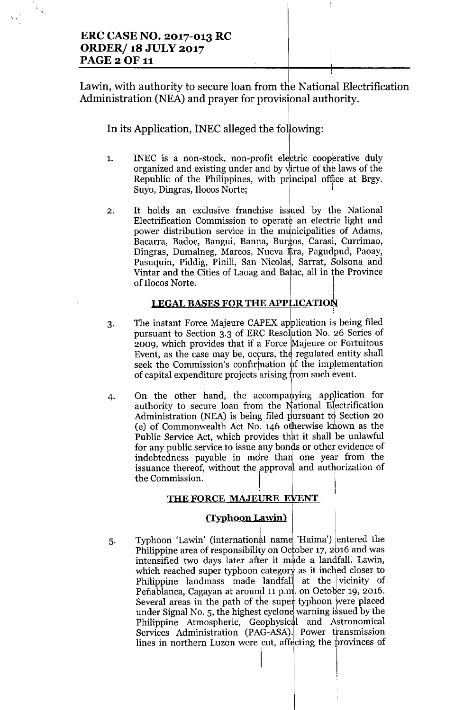# ERC CASE NO. 2017-013 RC **ORDER/ 18 JULY 2017 PAGE 2 OF 11**

'..

 $\cdot$ 

Lawin, with authority to secure loan from the National Electrification Administration (NEA) and prayer for provisional authority.

In its Application, INEC alleged the following:

- 1. INEC is a non-stock, non-profit electric cooperative duly organized and existing under and by virtue of the laws of the Republic of the Philippines, with pr'ncipal office at Brgy. Suyo, Dingras, Ilocos Norte;
- 2. It holds an exclusive franchise issued by the National Electrification Commission to operate an electric light and power distribution service in the municipalities of Adams, Bacarra, Badoc, Bangui, Banna, Burgos, Carasi, Currimao, Dingras, Dumalneg, Marcos, Nueva Era, Pagudpud, Paoay, Pasuquin, Piddig, Pinili, San Nicolas, Sarrat, Solsona and Vintar and the Cities of Laoag and Batac, all in the Province of Ilocos Norte.

# <u>legal bases for the application</u>

- 3. The instant Force Majeure CAPEX application is being filed pursuant to Section 3.3 of ERC Resolution No. 26 Series of 2009, which provides that if a Force Majeure or Fortuitous Event, as the case may be, occurs, the regulated entity shall seek the Commission's confirmation of the implementation of capital expenditure projects arising from such event.
- 4. On the other hand, the accompanying application for authority to secure loan from the National Electrification Administration (NEA) is being filed pursuant to Section 20 (e) of Commonwealth Act  $No$ . 146 otherwise known as the Public Service Act, which provides that it shall be unlawful for any public service to issue any bonds or other evidence of indebtedness payable in more than one year from the issuance thereof, without the approval and authorization of the Commission.

#### ,  $\mathbf{I}$  ,  $\mathbf{I}$  ,  $\mathbf{I}$  ,  $\mathbf{I}$ THE FORCE MAJEURE EVENT

#### , (Typhoon Lawin)

5. Typhoon 'Lawin' (international name 'Haima') entered the Philippine area of responsibility on October 17, 2016 and was intensified two days later after it made a landfall. Lawin, which reached super typhoon category as it inched closer to Philippine landmass made landfall at the vicinity of Peñablanca, Cagayan at around 11 p.m. on October 19, 2016. Several areas in the path of the super typhoon were placed under Signal No. 5, the highest cyclone warning issued by the Philippine Atmospheric, Geophysical and Astronomical Services Administration (PAG-ASA). Power ttansmission lines in northern Luzon were cut, affecting the provinces of

I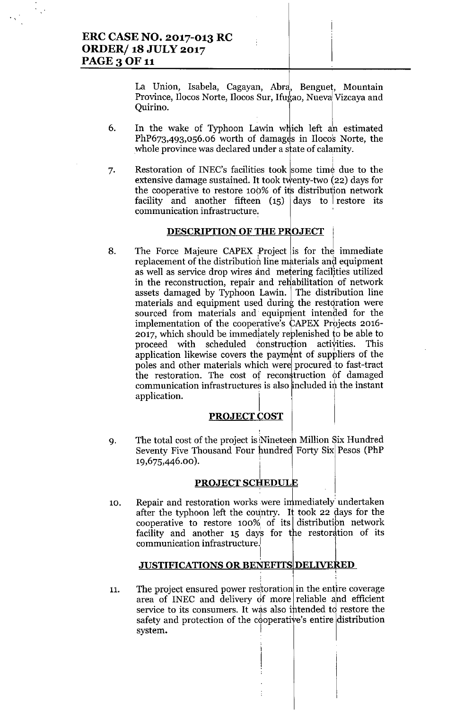. ,

La Union, Isabela, Cagayan, Abrd, Benguet, Mountain Province, Ilocos Norte, Ilocos Sur, Ifugao, Nueva Vizcaya and Quirino. J

- 6. In the wake of Typhoon Lawin which left an estimated  $PhP673,493,056.06$  worth of damages in Ilocos Norte, the whole province was declared under a sfate of calamity.
- 7. Restoration of INEC's facilities took some time due to the extensive damage sustained. It took twenty-two  $(22)$  days for the cooperative to restore 100% of its distribution network facility and another fifteen  $(15)$  days to restore its communication infrastructure.

### **DESCRIPTION OF THE PROJECT**

8. The Force Majeure CAPEX Project is for the immediate replacement of the distribution line materials and equipment as well as service drop wires and metering facilities utilized in the reconstruction, repair and reHabilitation of network assets damaged by Typhoon Lawin. The distribution line materials and equipment used during the restoration were sourced from materials and equipment intended for the implementation of the cooperative's CAPEX Projects 2016- 2017, which should be immediately reblenished to be able to proceed with scheduled construction activities. This application likewise covers the payment of suppliers of the poles and other materials which were!procured to fast-tract the restoration. The cost of reconstruction of damaged communication infrastructures is also included in the instant application.

#### **PROJECT COST**

9. The total cost of the project is Nineteen Million Six Hundred Seventy Five Thousand Four hundred Forty Six Pesos (PhP 19,675,446.00).

### **PROJECTSCHEDULk**

10. Repair and restoration works were immediately undertaken after the typhoon left the country. It took 22 days for the cooperative to restore  $100\%$  of its distribution network facility and another 15 days for the restoration of its communication infrastructure.!

### **JUSTIFICATIONS OR BENEFITS DELIVERED**

, .

11. The project ensured power restoration in the entire coverage area of INEC and delivery of more reliable and efficient service to its consumers. It was also intended to restore the safety and protection of the cooperative's entire distribution system.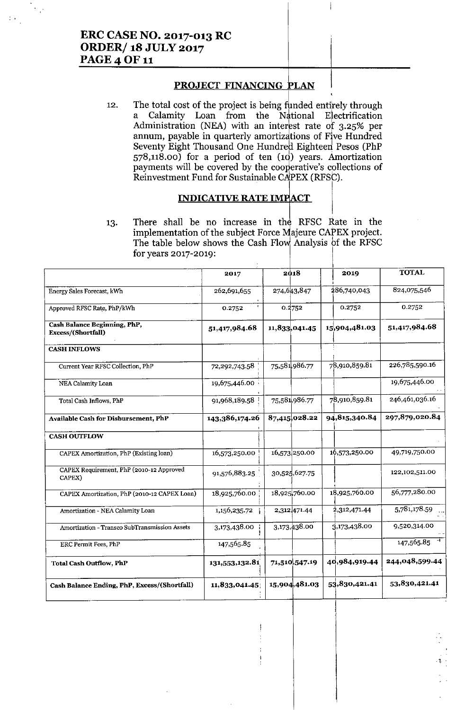# **ERC CASE NO. 2017-013 RC ORDER/18 JULY 2017 PAGE 4 OF 11**

 $\frac{1}{2}$  .

## **PROJECT FINANCING PLAN**

 $\overline{\phantom{a}}$ 

The total cost of the project is being funded entirely through 12. Calamity Loan from the National Electrification  $\mathbf{a}$ Administration (NEA) with an interest rate of 3.25% per annum, payable in quarterly amortizations of Five Hundred Seventy Eight Thousand One Hundred Eighteen Pesos (PhP  $578,118.00$ ) for a period of ten  $(10)$  years. Amortization payments will be covered by the cooperative's collections of Reinvestment Fund for Sustainable CAPEX (RFSC).

#### **INDICATIVE RATE IMPACT**

There shall be no increase in the RFSC Rate in the 13. implementation of the subject Force Majeure CAPEX project. The table below shows the Cash Flow Analysis of the RFSC for years 2017-2019:

|                                                    | 2017           | 2018          | 2019          | <b>TOTAL</b>   |  |
|----------------------------------------------------|----------------|---------------|---------------|----------------|--|
| Energy Sales Forecast, kWh                         | 262,691,655    | 274,643,847   | 286,740,043   | 824,075,546    |  |
| Approved RFSC Rate, PhP/kWh                        | 0.2752         | 0.2752        | 0.2752        | 0.2752         |  |
| Cash Balance Beginning, PhP,<br>Excess/(Shortfall) | 51,417,984.68  | 11,833,041.45 | 15,904,481.03 | 51,417,984.68  |  |
| <b>CASH INFLOWS</b>                                |                |               |               |                |  |
| Current Year RFSC Collection, PhP                  | 72,292,743.58  | 75,581,986.77 | 78,910,859.81 | 226,785,590.16 |  |
| NEA Calamity Loan                                  | 19,675,446.00  |               |               | 19,675,446.00  |  |
| Total Cash Inflows, PhP                            | 91,968,189.58  | 75,581,986.77 | 78,910,859.81 | 246,461,036.16 |  |
| Available Cash for Disbursement, PhP               | 143,386,174.26 | 87,415,028.22 | 94,815,340.84 | 297,879,020.84 |  |
| <b>CASH OUTFLOW</b>                                |                |               |               |                |  |
| CAPEX Amortization, PhP (Existing loan)            | 16,573,250.00  | 16,573,250.00 | 16,573,250.00 | 49,719,750.00  |  |
| CAPEX Requirement, PhP (2010-12 Approved<br>CAPEX) | 91,576,883.25  | 30,525,627.75 |               | 122,102,511.00 |  |
| CAPEX Amortization, PhP (2010-12 CAPEX Loan)       | 18,925,760.00  | 18,925,760.00 | 18,925,760.00 | 56,777,280.00  |  |
| Amortization - NEA Calamity Loan                   | 1,156,235.72   | 2,312,471.44  | 2,312,471.44  | 5,781,178.59   |  |
| Amortization - Transco SubTransmission Assets      | 3,173,438.00   | 3,173,438.00  | 3,173,438.00  | 9,520,314.00   |  |
| ERC Permit Fees, PhP                               | 147,565.85     |               |               | 147,565.85     |  |
| <b>Total Cash Outflow, PhP</b>                     | 131,553,132.81 | 71,510,547.19 | 40,984,919.44 | 244,048,599.44 |  |
| Cash Balance Ending, PhP, Excess/(Shortfall)       | 11,833,041.45; | 15,904,481.03 | 53,830,421.41 | 53,830,421.41  |  |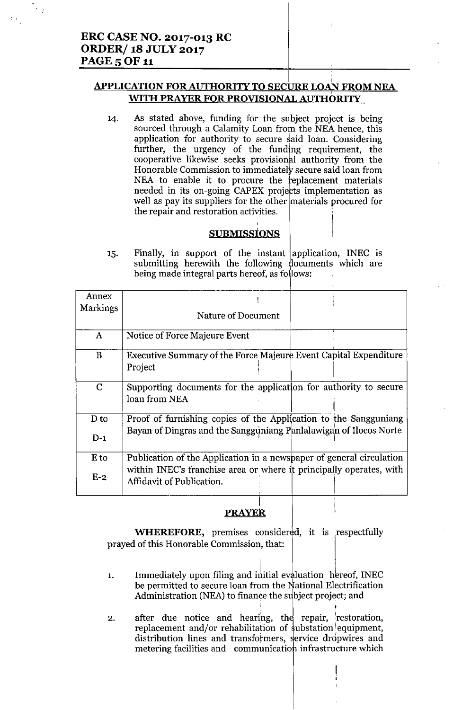# **APPLICATION FOR AUTHORITY TO SECURE LOAN FROM NEA** WITH PRAYER FOR PROVISIONAL AUTHORITY

As stated above, funding for the subject project is being  $14.$ sourced through a Calamity Loan from the NEA hence, this application for authority to secure said loan. Considering further, the urgency of the funding requirement, the cooperative likewise seeks provisional authority from the Honorable Commission to immediately secure said loan from NEA to enable it to procure the replacement materials needed in its on-going CAPEX projects implementation as well as pay its suppliers for the other materials procured for the repair and restoration activities.

## **SUBMISSIONS**

Finally, in support of the instant application, INEC is 15. submitting herewith the following documents which are being made integral parts hereof, as follows:

| Annex           |                                                                                                  |
|-----------------|--------------------------------------------------------------------------------------------------|
| <b>Markings</b> | Nature of Document                                                                               |
| $\mathbf{A}$    | Notice of Force Majeure Event                                                                    |
| B               | Executive Summary of the Force Majeure Event Capital Expenditure<br>Project                      |
| $\mathbf C$     | Supporting documents for the application for authority to secure<br>loan from NEA                |
| D to            | Proof of furnishing copies of the Application to the Sangguniang                                 |
| $D-1$           | Bayan of Dingras and the Sangguniang Panlalawigan of Ilocos Norte                                |
| E to            | Publication of the Application in a newspaper of general circulation                             |
| $E-2$           | within INEC's franchise area or where it principally operates, with<br>Affidavit of Publication. |

# **PRAYER**

**WHEREFORE**, premises considered, it is respectfully prayed of this Honorable Commission, that:

- Immediately upon filing and initial evaluation hereof, INEC  $1.$ be permitted to secure loan from the National Electrification Administration (NEA) to finance the subject project; and
- after due notice and hearing, the repair, restoration,  $2.$ replacement and/or rehabilitation of substation equipment, distribution lines and transformers, service dropwires and metering facilities and communication infrastructure which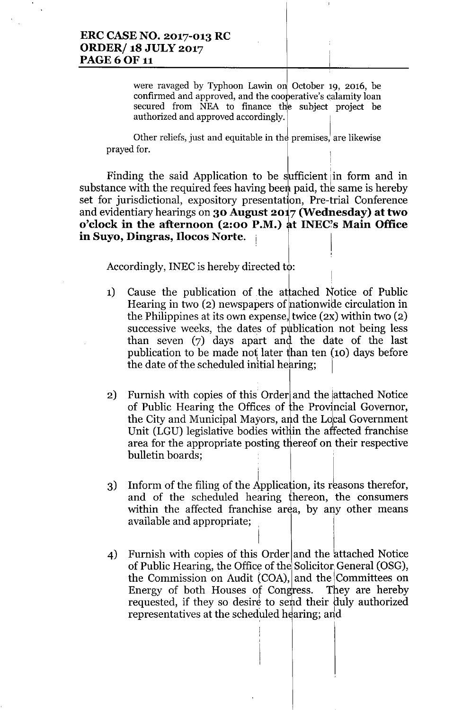were ravaged by Typhoon Lawin on October 19, 2016, be confirmed and approved, and the cooperative's calamity loan secured from NEA to finance the subject project be authorized and approved accordingly.

Other reliefs, just and equitable in the premises, are likewise prayed for.

Finding the said Application to be sufficient in form and in substance with the required fees having been paid, the same is hereby set for jurisdictional, expository presentation, Pre-trial Conference and evidentiary hearings on 30 August  $2017$  (Wednesday) at two o'clock in the afternoon (2:00 P.M.) at INEC's Main Office in Suyo, Dingras, Ilocos Norte.

Accordingly, INEC is hereby directed  $\mathsf{t}\phi$ :

- 1) Cause the publication of the attached Notice of Public Hearing in two  $(2)$  newspapers of nationwide circulation in the Philippines at its own expense, twice  $(2x)$  within two  $(2)$ successive weeks, the dates of publication not being less than seven  $(7)$  days apart and the date of the last publication to be made not later than ten  $(10)$  days before the date of the scheduled initial hearing;
- 2) Furnish with copies of this Order and the lattached Notice of Public Hearing the Offices of the Provincial Governor, the City and Municipal Mayors, and the Local Government Unit (LGU) legislative bodies within the affected franchise area for the appropriate posting thereof on their respective bulletin boards;
- 3) Inform of the filing of the Application, its reasons therefor and of the scheduled hearing thereon, the consumers within the affected franchise area, by any other means available and appropriate;

I

4) Furnish with copies of this Order and the attached Notice of Public Hearing, the Office of the Solicitor General (OSG), the Commission on Audit (COA), and the Committees on Energy of both Houses of Congress. They are hereby requested, if they so desire to send their duly authorized representatives at the scheduled hearing; and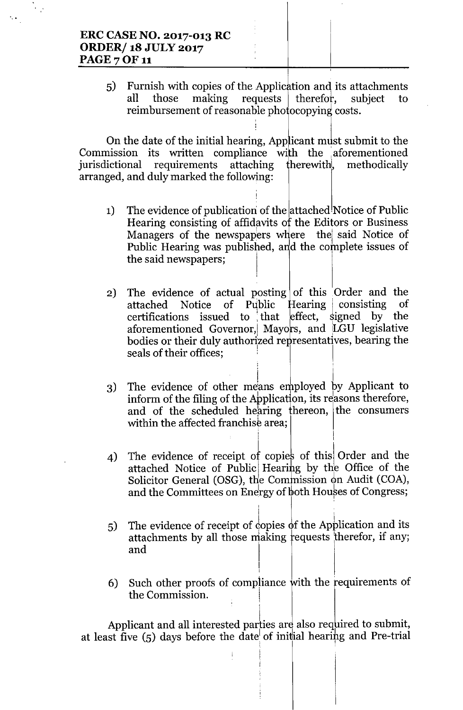# **ERC CASE NO. 2017-013 RC ORDER/18 JULY 2017 PAGE 7 OF 11**

 $(5)$ Furnish with copies of the Application and its attachments those making requests therefor. subject all  $\mathsf{t}$ reimbursement of reasonable photocopying costs.

On the date of the initial hearing, Applicant must submit to the Commission its written compliance with the aforementioned requirements therewith, jurisdictional attaching methodically arranged, and duly marked the following:

- The evidence of publication of the attached Notice of Public  $1)$ Hearing consisting of affidavits of the Editors or Business Managers of the newspapers where the said Notice of Public Hearing was published, and the complete issues of the said newspapers;
- The evidence of actual posting of this Order and the  $2)$ attached Public  $Hearing$ consisting Notice  $of$ оf  $leftect,$ certifications issued to that signed by the aforementioned Governor, Mayors, and LGU legislative bodies or their duly authorized representatives, bearing the seals of their offices;
- The evidence of other means employed by Applicant to 3) inform of the filing of the Application, its reasons therefore, and of the scheduled hearing thereon, the consumers within the affected franchise area;
- The evidence of receipt of copies of this Order and the 4) attached Notice of Public Hearing by the Office of the Solicitor General (OSG), the Commission on Audit (COA), and the Committees on Energy of both Houses of Congress;
- The evidence of receipt of copies of the Application and its  $5)$ attachments by all those making requests therefor, if any; and
- Such other proofs of compliance with the requirements of 6) the Commission.

Applicant and all interested parties are also required to submit, at least five  $(5)$  days before the date of initial hearing and Pre-trial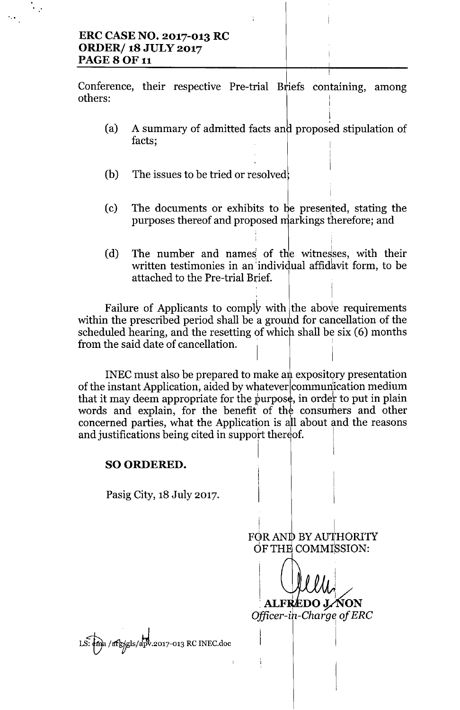# **ERC CASE NO. 2017-013 RC ORDER/ 18 JULY 2017 PAGE 8 OF 11**

...

Conference, their respective Pre-trial Briefs containing, among others:

(a) A summary of admitted facts and proposed stipulation of facts;

I

I

I

I

I

- (b) The issues to be tried or resolved!
- (c) The documents or exhibits to be presented, stating the purposes thereof and proposed markings therefore; and
- (d) The number and names of the witnesses, with their written testimonies in an individual affidavit form, to be attached to the Pre-trial Brief.

Failure of Applicants to comply with the above requirements within the prescribed period shall be a ground for cancellation of the scheduled hearing, and the resetting of which shall be six (6) months from the said date of cancellation.

INEC must also be prepared to make an expository presentation of the instant Application, aided by whatever communication medium that it may deem appropriate for the purpose, in order to put in plain  $\mathbf{I}$  . If  $\mathbf{I}$  is a set of  $\mathbf{I}$ that it may deem appropriate for the purpose,<br>words and explain, for the benefit of the<br>concerned parties, what the Application is al consumers and other concerned parties, what the Application is all about and the reasons and justifications being cited in support thereof.

# SO ORDERED.

Pasig City, 18 July 2017.

I FOR AND BY AUTHORITY OFTH COMMISSION:

 $\blacksquare$ 

I ! **ALFREDO J. NON** *Offieer-i*

LS: ema / arg/gls/apv.2017-013 RC INEC.doc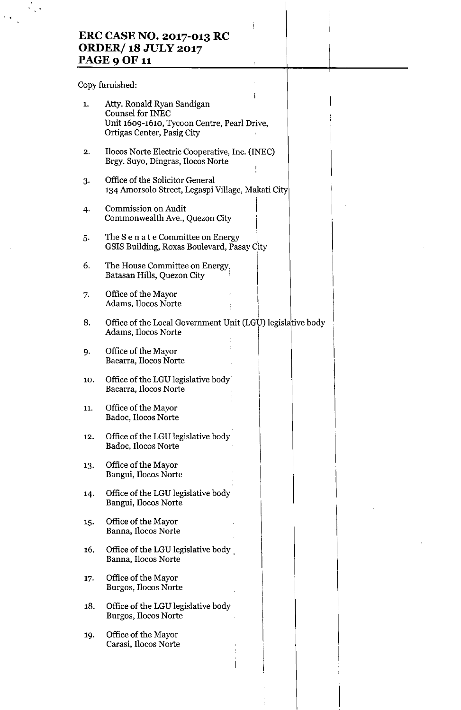# **ERC CASE NO. 2017-013 RC ORDER/ 18 JULY 2017 PAGE 9 OF 1**

j.

 $\overline{\mathbf{r}}$ 

Copy furnished:

..

 $\bar{z}$ 

| 1.  | Atty. Ronald Ryan Sandigan<br><b>Counsel for INEC</b><br>Unit 1609-1610, Tycoon Centre, Pearl Drive,<br>Ortigas Center, Pasig City |
|-----|------------------------------------------------------------------------------------------------------------------------------------|
| 2.  | Ilocos Norte Electric Cooperative, Inc. (INEC)<br>Brgy. Suyo, Dingras, Ilocos Norte                                                |
| 3.  | Office of the Solicitor General<br>134 Amorsolo Street, Legaspi Village, Makati City                                               |
| 4.  | Commission on Audit<br>Commonwealth Ave., Quezon City                                                                              |
| 5.  | The S e n a t e Committee on Energy<br>GSIS Building, Roxas Boulevard, Pasay City                                                  |
| 6.  | The House Committee on Energy.<br>Batasan Hills, Quezon City                                                                       |
| 7.  | Office of the Mayor<br>Adams, Ilocos Norte                                                                                         |
| 8.  | Office of the Local Government Unit (LGU) legislative body<br>Adams, Ilocos Norte                                                  |
| 9.  | Office of the Mayor<br>Bacarra, Ilocos Norte                                                                                       |
| 10. | Office of the LGU legislative body<br>Bacarra, Ilocos Norte                                                                        |
| 11. | Office of the Mayor<br>Badoc, Ilocos Norte                                                                                         |
| 12. | Office of the LGU legislative body<br>Badoc, Ilocos Norte                                                                          |
| 13. | Office of the Mayor<br>Bangui, Ilocos Norte                                                                                        |
| 14. | Office of the LGU legislative body<br>Bangui, Ilocos Norte                                                                         |
| 15. | Office of the Mayor<br>Banna, Ilocos Norte                                                                                         |
| 16. | Office of the LGU legislative body<br>Banna, Ilocos Norte                                                                          |
| 17. | Office of the Mayor<br>Burgos, Ilocos Norte                                                                                        |
| 18. | Office of the LGU legislative body<br>Burgos, Ilocos Norte                                                                         |
| 19. | Office of the Mayor<br>Carasi, Ilocos Norte                                                                                        |
|     |                                                                                                                                    |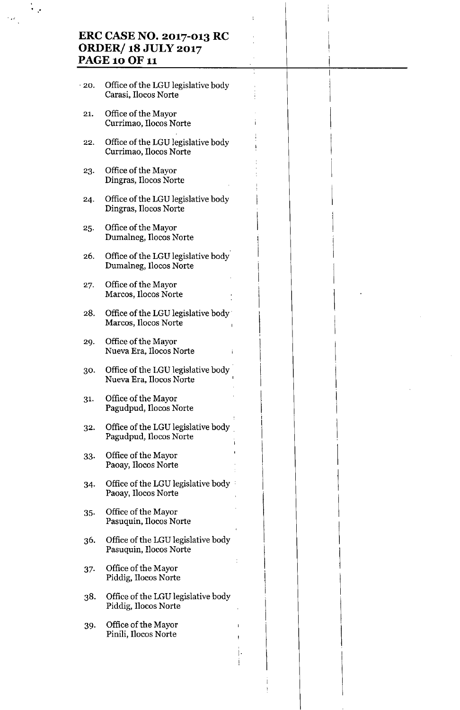# **ERC CASE NO. 2017-013 RC ORDER/ 18 JULY 2017 PAGE 10 OF 11**

I

I

 $\mathsf I$ 

I

 $\mathbf{I}$ 

 $\mathsf I$ 

 $\mathbf{I}$  is a set of  $\mathbf{I}$  is a set of  $\mathbf{I}$ 

 $\mathbf{I}$  is a set of  $\mathbf{I}$ 

 $\begin{bmatrix} 1 & 1 & 1 \\ 1 & 1 & 1 \end{bmatrix}$ 

I

\

I

I

I $\mathbf{I}$ 

.

",'

"20. Office of the LGU legislative body Carasi, Ilocos Norte 21. Office of the Mayor Currimao, Ilocos Norte III et al. 22. Office of the LGU legislative body Currimao, Ilocos Norte 23. Office of the Mayor Dingras, Ilocos Norte 24. Office of the LGU legislative body Dingras, Ilocos Norte 25. Office of the Mayor Dumalneg, Ilocos Norte 26. Office of the LGU legislative body Dumalneg, Ilocos Norte Office of the Mayor 27. Marcos, Ilocos Norte 28. Office of the LGU legislative body' Marcos, Ilocos Norte 29. Office of the Mayor Nueva Era, I1ocos Norte 30. Office of the LGU legislative body Nueva Era, Ilocos Norte 31- Office of the Mayor Pagudpud, Ilocos Norte 32. Office of the LGU legislative body " Pagudpud, Ilocos Norte 33. Office of the Mayor<br>Paoay, Ilocos Norte 34. Office of the LGU legislative body • Paoay, Ilocos Norte 35. Office of the Mayor Pasuquin, Ilocos Norte 36. Office of the LGU legislative body Pasuquin, Ilocos Norte 37. Office of the Mayor Piddig, Ilocos Norte 38. Office of the LGU legislative body Piddig, I1ocos Norte 39. Office of the Mayor Pinili, I1ocos Norte